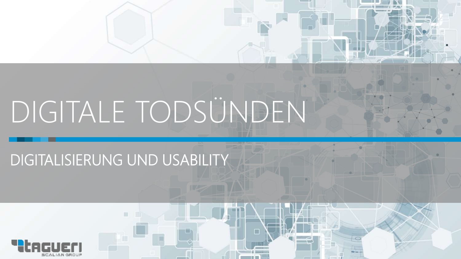# DIGITALE TODSÜNDEN

### DIGITALISIERUNG UND USABILITY

ш

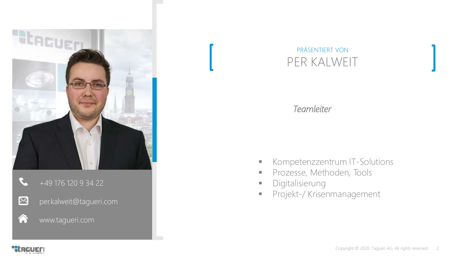

#### +49 176 120 9 34 22



A

per.kalweit@tagueri.com

#### www.tagueri.com



#### *Teamleiter*

- **Kompetenzzentrum IT-Solutions**
- **Prozesse, Methoden, Tools**
- **Digitalisierung**
- **Projekt-/ Krisenmanagement**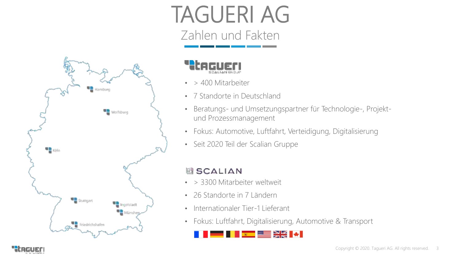## TAGUERI AG

Zahlen und Fakten





- > 400 Mitarbeiter
- 7 Standorte in Deutschland
- Beratungs- und Umsetzungspartner für Technologie-, Projektund Prozessmanagement
- Fokus: Automotive, Luftfahrt, Verteidigung, Digitalisierung
- Seit 2020 Teil der Scalian Gruppe

#### **国 SCALIAN**

- > 3300 Mitarbeiter weltweit
- 26 Standorte in 7 Ländern
- Internationaler Tier-1 Lieferant
- Fokus: Luftfahrt, Digitalisierung, Automotive & Transport

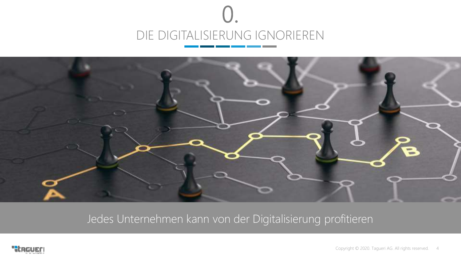



Jedes Unternehmen kann von der Digitalisierung profitieren

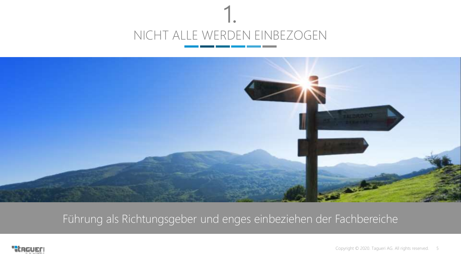



Führung als Richtungsgeber und enges einbeziehen der Fachbereiche

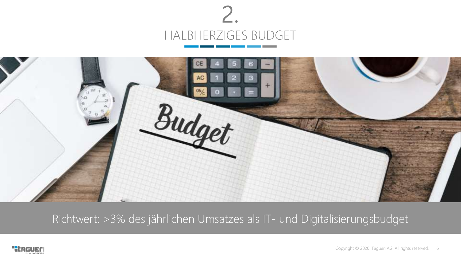



Richtwert: >3% des jährlichen Umsatzes als IT- und Digitalisierungsbudget

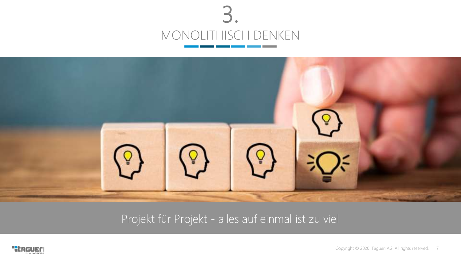



Projekt für Projekt - alles auf einmal ist zu viel

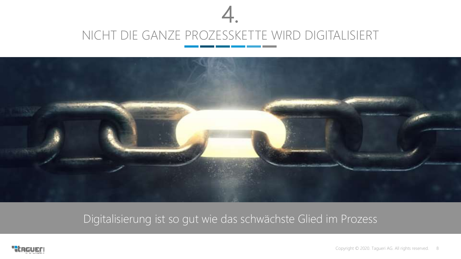



Digitalisierung ist so gut wie das schwächste Glied im Prozess

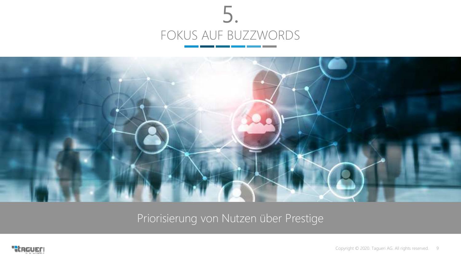



Priorisierung von Nutzen über Prestige

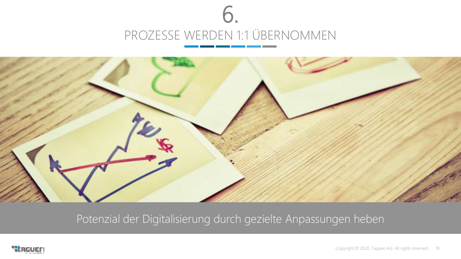



Potenzial der Digitalisierung durch gezielte Anpassungen heben

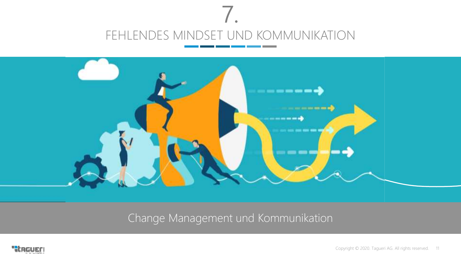



Change Management und Kommunikation

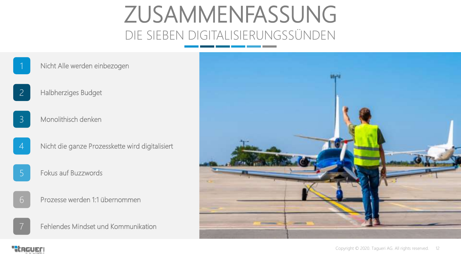## ZUSAMMENFASSUNG DIE SIEBEN DIGITALISIERUNGSSÜNDEN

Nicht Alle werden einbezogen

- Halbherziges Budget
- Monolithisch denken 3

2

- 4 Nicht die ganze Prozesskette wird digitalisiert
- 5 Fokus auf Buzzwords
- 6 Prozesse werden 1:1 übernommen





"thgueri